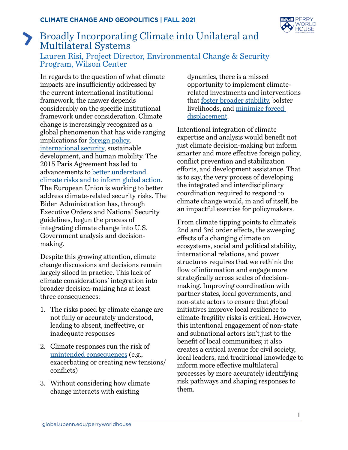

## Broadly Incorporating Climate into Unilateral and Multilateral Systems Lauren Risi, Project Director, Environmental Change & Security Program, Wilson Center

In regards to the question of what climate impacts are insufficiently addressed by the current international institutional framework, the answer depends considerably on the specific institutional framework under consideration. Climate change is increasingly recognized as a global phenomenon that has wide ranging implications for [foreign policy](https://diplomacy21-adelphi.wilsoncenter.org/about-21st-century-diplomacy), [international security,](https://www.wilsoncenter.org/publication/new-climate-for-peace-taking-action-climate-and-fragility-risks#:~:text=Download%20the%20publication-,A%20New%20Climate%20for%20Peace%3A%20Taking%20Action%20on%20Climate%20and,Union%20Institute%20for%20Security%20Studies.) sustainable development, and human mobility. The 2015 Paris Agreement has led to advancements to [better understand](https://www.sipri.org/publications/2021/sipri-insights-peace-and-security/reassessment-european-unions-response-climate-related-security-risks)  [climate risks and to inform global action](https://www.sipri.org/publications/2021/sipri-insights-peace-and-security/reassessment-european-unions-response-climate-related-security-risks). The European Union is working to better address climate-related security risks. The Biden Administration has, through Executive Orders and National Security guidelines, begun the process of integrating climate change into U.S. Government analysis and decisionmaking.

Despite this growing attention, climate change discussions and decisions remain largely siloed in practice. This lack of climate considerations' integration into broader decision-making has at least three consequences:

- 1. The risks posed by climate change are not fully or accurately understood, leading to absent, ineffective, or inadequate responses
- 2. Climate responses run the risk of [unintended consequences](https://www.newsecuritybeat.org/2013/06/wilson-center-roundtable-backdraft-unintended-consequences-climate-change-response/) (e.g., exacerbating or creating new tensions/ conflicts)
- 3. Without considering how climate change interacts with existing

dynamics, there is a missed opportunity to implement climaterelated investments and interventions that [foster broader stability](https://www.newsecuritybeat.org/2021/04/developing-shared-narrative-climate-change-fragility-peacebuilding/), bolster livelihoods, and [minimize forced](https://diplomacy21-adelphi.wilsoncenter.org/climate-change-migration-displacement)  [displacement.](https://diplomacy21-adelphi.wilsoncenter.org/climate-change-migration-displacement)

Intentional integration of climate expertise and analysis would benefit not just climate decision-making but inform smarter and more effective foreign policy, conflict prevention and stabilization efforts, and development assistance. That is to say, the very process of developing the integrated and interdisciplinary coordination required to respond to climate change would, in and of itself, be an impactful exercise for policymakers.

From climate tipping points to climate's 2nd and 3rd order effects, the sweeping effects of a changing climate on ecosystems, social and political stability, international relations, and power structures requires that we rethink the flow of information and engage more strategically across scales of decisionmaking. Improving coordination with partner states, local governments, and non-state actors to ensure that global initiatives improve local resilience to climate-fragility risks is critical. However, this intentional engagement of non-state and subnational actors isn't just to the benefit of local communities; it also creates a critical avenue for civil society, local leaders, and traditional knowledge to inform more effective multilateral processes by more accurately identifying risk pathways and shaping responses to them.